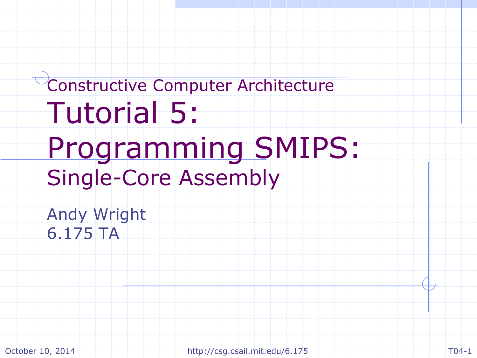Constructive Computer Architecture Tutorial 5: Programming SMIPS: Single-Core Assembly

Andy Wright 6.175 TA

October 10, 2014 http://csg.csail.mit.edu/6.175 T04-1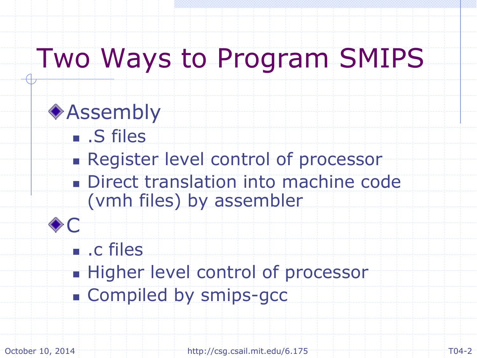### Two Ways to Program SMIPS

**◆ Assembly**  .S files **Register level control of processor** Direct translation into machine code (vmh files) by assembler C **.** c files **Higher level control of processor Compiled by smips-gcc** 

October 10, 2014 **http://csg.csail.mit.edu/6.175** 10.175 T04-2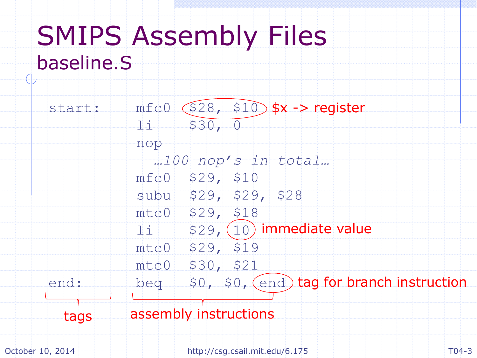#### SMIPS Assembly Files baseline.S



October 10, 2014 T04-3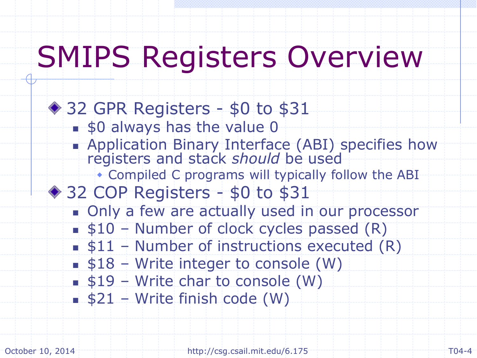## SMIPS Registers Overview

◆ 32 GPR Registers - \$0 to \$31 **s**0 always has the value 0 **Application Binary Interface (ABI) specifies how** registers and stack should be used Compiled C programs will typically follow the ABI ◆ 32 COP Registers - \$0 to \$31 **Only a few are actually used in our processor**  $\bullet$  \$10 – Number of clock cycles passed  $(R)$  $\bullet$  \$11 – Number of instructions executed  $(R)$  $\bullet$  \$18 – Write integer to console (W)  $$19 - Write char to console (W)$  $$21 - Write finish code (W)$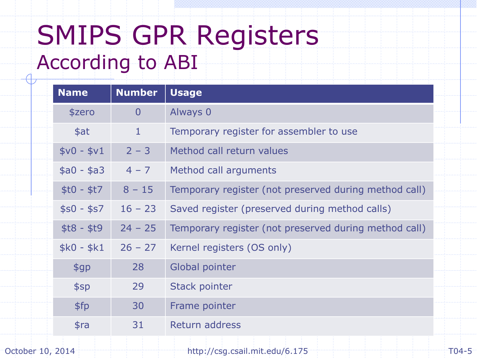### SMIPS GPR Registers According to ABI

| <b>Name</b> | <b>Number</b>  | <b>Usage</b>                                          |
|-------------|----------------|-------------------------------------------------------|
| \$zero      | $\overline{0}$ | Always 0                                              |
| \$at        | $\mathbf{1}$   | Temporary register for assembler to use               |
| $$v0 - $v1$ | $2 - 3$        | Method call return values                             |
| $$a0 - $a3$ | $4 - 7$        | Method call arguments                                 |
| $$t0 - $t7$ | $8 - 15$       | Temporary register (not preserved during method call) |
| $$s0 - $s7$ | $16 - 23$      | Saved register (preserved during method calls)        |
| $$t8 - $t9$ | $24 - 25$      | Temporary register (not preserved during method call) |
| $$k0 - $k1$ | $26 - 27$      | Kernel registers (OS only)                            |
| \$gp        | 28             | Global pointer                                        |
| \$sp        | 29             | <b>Stack pointer</b>                                  |
| \$fp        | 30             | Frame pointer                                         |
| \$ra        | 31             | Return address                                        |
|             |                |                                                       |

October 10, 2014 **http://csg.csail.mit.edu/6.175**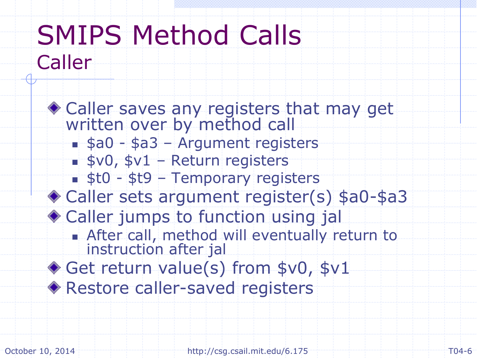### SMIPS Method Calls Caller

Caller saves any registers that may get written over by method call  $s = $a0 - $a3 -$  Argument registers  $s$ v0,  $s$ v1 – Return registers  $\sqrt{\phantom{a}}$ \$t0 - \$t9 – Temporary registers Caller sets argument register(s) \$a0-\$a3 Caller jumps to function using jal **After call, method will eventually return to** instruction after jal ◆ Get return value(s) from \$v0, \$v1 Restore caller-saved registers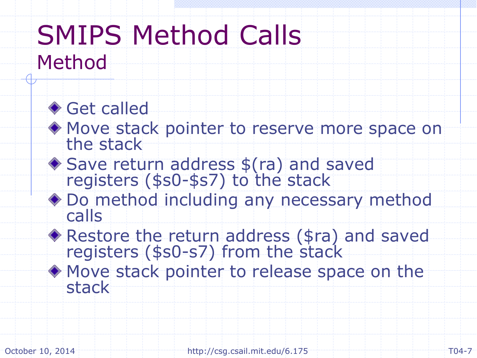#### SMIPS Method Calls Method

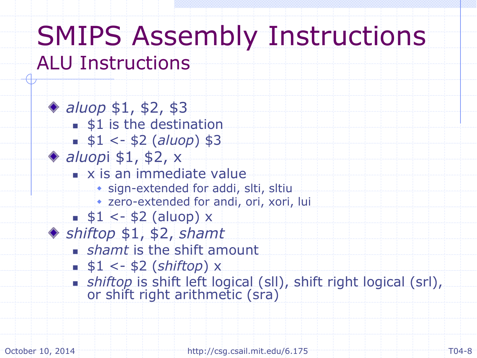#### SMIPS Assembly Instructions ALU Instructions

◆ *aluop* \$1, \$2, \$3 **\$1** is the destination  $- $1 < - $2 (aluop) $3$ *aluop*i \$1, \$2, x **x** is an immediate value sign-extended for addi, slti, sltiu zero-extended for andi, ori, xori, lui  $\leq$  \$1 <- \$2 (aluop) x *shiftop* \$1, \$2, *shamt shamt* is the shift amount \$1 <- \$2 (*shiftop*) x *shiftop* is shift left logical (sll), shift right logical (srl), or shift right arithmetic (sra)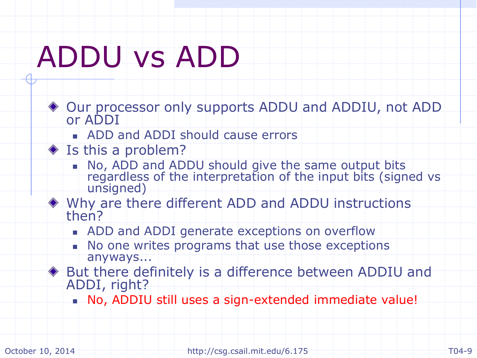# ADDU vs ADD

- Our processor only supports ADDU and ADDIU, not ADD or ADDI
	- ADD and ADDI should cause errors
- ◆ Is this a problem?
	- No, ADD and ADDU should give the same output bits regardless of the interpretation of the input bits (signed vs unsigned)
- Why are there different ADD and ADDU instructions then?
	- **ADD and ADDI generate exceptions on overflow**
	- No one writes programs that use those exceptions anyways...
- But there definitely is a difference between ADDIU and ADDI, right?
	- No, ADDIU still uses a sign-extended immediate value!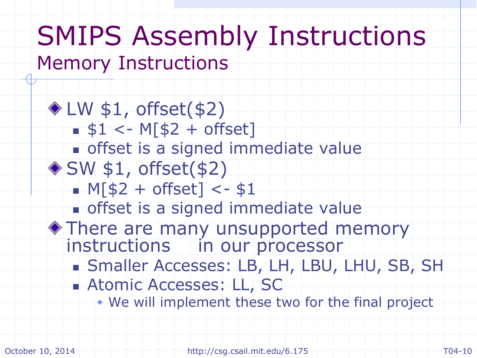#### SMIPS Assembly Instructions Memory Instructions

 $*LW$  \$1, offset(\$2)  $\leq$  \$1 <- M[\$2 + offset] offset is a signed immediate value  $\bullet$  SW \$1, offset(\$2)  $-M[$2 + offset] < - $1$ **offset is a signed immediate value** There are many unsupported memory instructions in our processor Smaller Accesses: LB, LH, LBU, LHU, SB, SH **Atomic Accesses: LL, SC** We will implement these two for the final project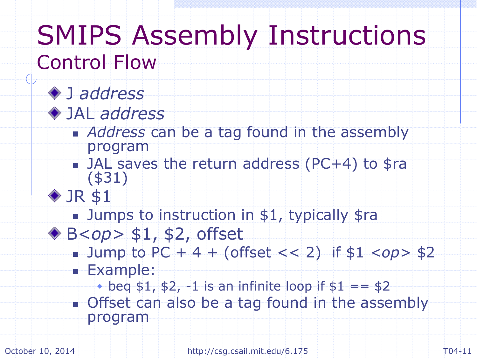#### SMIPS Assembly Instructions Control Flow

#### J *address*



- **Address can be a tag found in the assembly** program
- JAL saves the return address (PC+4) to \$ra (\$31)



- **Jumps to instruction in \$1, typically \$rams**
- B<*op>* \$1, \$2, offset
	- $\blacksquare$  Jump to PC + 4 + (offset << 2) if \$1 <op> \$2 **Example:** 
		- $\bullet$  beq \$1, \$2, -1 is an infinite loop if \$1 == \$2
	- **Offset can also be a tag found in the assembly** program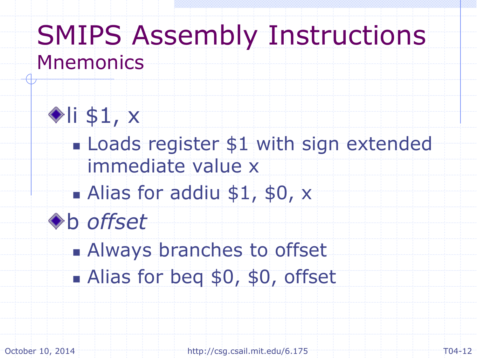### SMIPS Assembly Instructions **Mnemonics**



**Loads register \$1 with sign extended** immediate value x

Alias for addiu \$1, \$0, x



**Always branches to offset** Alias for beg \$0, \$0, offset

October 10, 2014 T04-12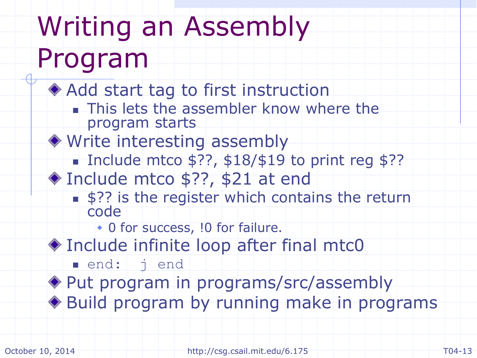## Writing an Assembly Program

◆ Add start tag to first instruction

- **This lets the assembler know where the** program starts
- Write interesting assembly
	- Include mtco  $$??, $18/$19$  to print reg \$??
- ◆ Include mtco \$??, \$21 at end
	- **\$??** is the register which contains the return code

• 0 for success, !0 for failure.

Include infinite loop after final mtc0

end: j end Put program in programs/src/assembly Build program by running make in programs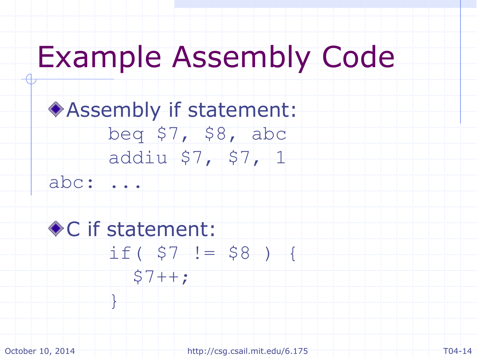### Example Assembly Code

#### Assembly if statement: beq \$7, \$8, abc addiu \$7, \$7, 1

abc: ...

}

#### ◆ C if statement:  $if($   $$7 ! = $8 )$  {  $$7++;$

October 10, 2014 **http://csg.csail.mit.edu/6.175** T04-14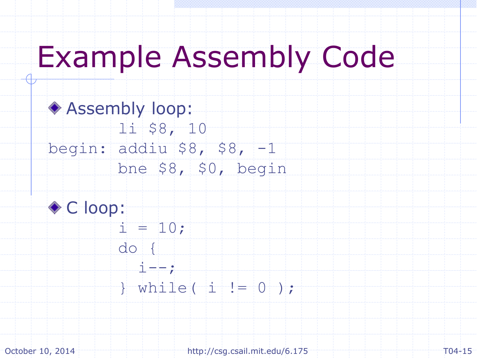### Example Assembly Code

Assembly loop: li \$8, 10 begin: addiu \$8, \$8, -1 bne \$8, \$0, begin ◆ C loop:  $i = 10;$ 

> $d$ o {  $i = -;$

 $}$  while( i  $!= 0$  );

October 10, 2014 **http://csg.csail.mit.edu/6.175** T04-15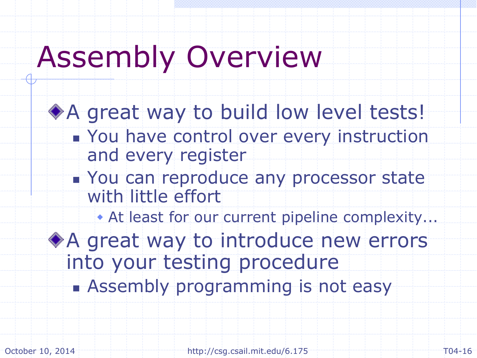### Assembly Overview

◆ A great way to build low level tests! **Nou have control over every instruction** and every register **You can reproduce any processor state** with little effort At least for our current pipeline complexity... ◆ A great way to introduce new errors into your testing procedure **Assembly programming is not easy**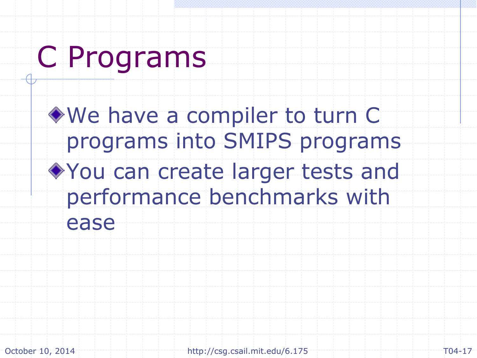## C Programs

We have a compiler to turn C programs into SMIPS programs You can create larger tests and performance benchmarks with ease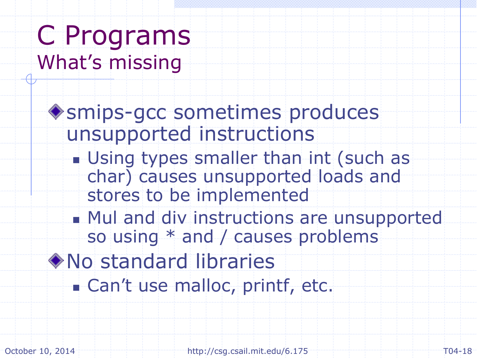### C Programs What's missing

smips-gcc sometimes produces unsupported instructions

- **Using types smaller than int (such as** char) causes unsupported loads and stores to be implemented
- **Mul and div instructions are unsupported** so using \* and / causes problems
- No standard libraries **Can't use malloc, printf, etc.**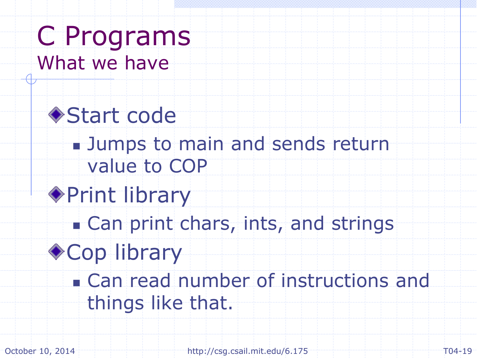C Programs What we have

◆ Start code **Jumps to main and sends return** value to COP ◆ Print library **Can print chars, ints, and strings** ◆ Cop library **Can read number of instructions and** things like that.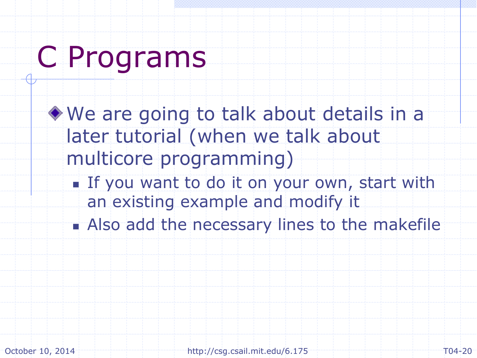## C Programs

We are going to talk about details in a later tutorial (when we talk about multicore programming) If you want to do it on your own, start with an existing example and modify it Also add the necessary lines to the makefile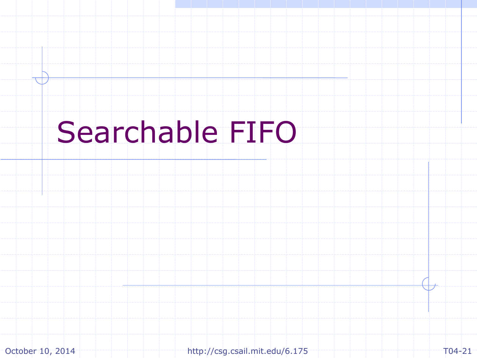## Searchable FIFO

October 10, 2014 http://csg.csail.mit.edu/6.175 T04-21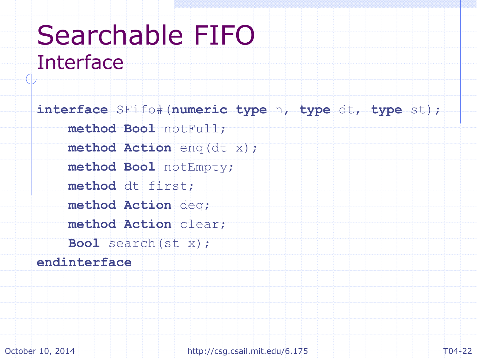### Searchable FIFO Interface

**interface** SFifo#(**numeric type** n, **type** dt, **type** st); **method Bool** notFull; **method Action** enq(dt x); **method Bool** notEmpty; method dt first; **method Action** deq; **method Action** clear; **Bool** search(st x); **endinterface**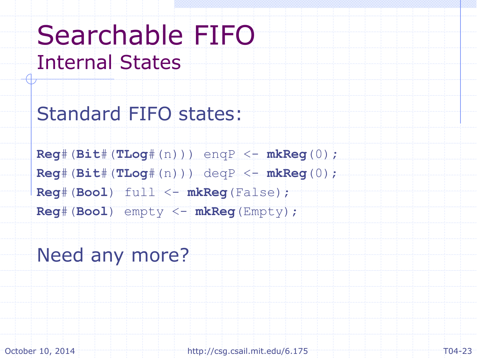### Searchable FIFO Internal States

Standard FIFO states:

**Reg**#(**Bit**#(**TLog**#(n))) enqP <- **mkReg**(0)**; Reg**#(**Bit**#(**TLog**#(n))) deqP <- **mkReg**(0); **Reg**#(**Bool**) full <- **mkReg**(False); **Reg**#(**Bool**) empty <- **mkReg**(Empty);

#### Need any more?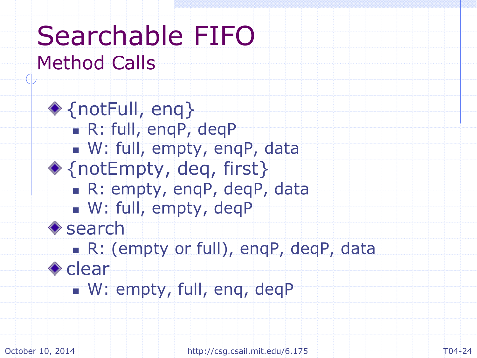### Searchable FIFO Method Calls

◆ {notFull, enq} R: full, enqP, deqP W: full, empty, enqP, data ◆ {notEmpty, deq, first} R: empty, enqP, deqP, data W: full, empty, deqP **♦** search R: (empty or full), enqP, deqP, data ◆ clear W: empty, full, eng, deqP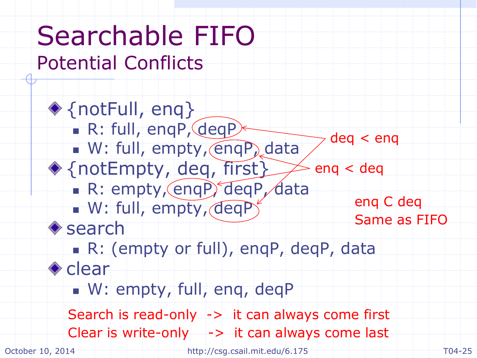#### Searchable FIFO Potential Conflicts ◆ {notFull, enq} R: full, enqP, deqP W: full, empty, engP, data ◆ {notEmpty, deq, first} R: empty, enqP, deqP, data W: full, empty, deqP **♦** search R: (empty or full), enqP, deqP, data ◆ clear W: empty, full, eng, deqP October 10, 2014 **http://csg.csail.mit.edu/6.175** T04-25 enq < deq deq < enq enq C deq Same as FIFO Search is read-only -> it can always come first Clear is write-only  $\rightarrow$  it can always come last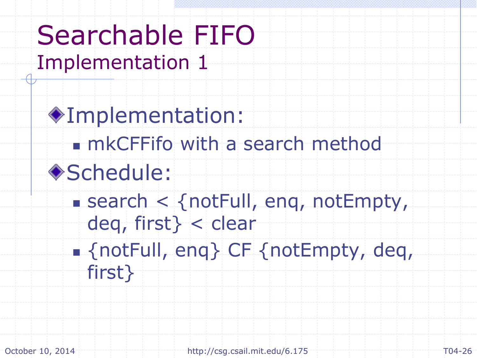#### Searchable FIFO Implementation 1

Implementation: mkCFFifo with a search method ◆Schedule:  $s$  search  $\lt$  {notFull, eng, notEmpty, deq, first} < clear {notFull, enq} CF {notEmpty, deq, first}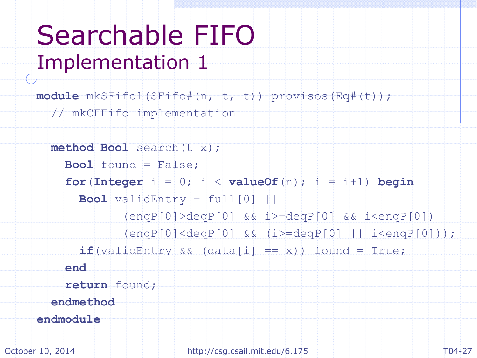### Searchable FIFO Implementation 1

**module** mkSFifo1(SFifo#(n, t, t)) provisos(Eq#(t));

// mkCFFifo implementation

```
 method Bool search(t x);
     Bool found = False;
    for(Integer i = 0; i < value0f(n); i = i+1) begin
      \textbf{Bool} validEntry = \text{full}[0] ||
             (enqP[0] > deqP[0] & \& & \i=deqP[0] & \& & \i=deqP[0] (enqP[0]<deqP[0] && (i>=deqP[0] || i<enqP[0]));
      if(validEntry \& (data[i] == x)) found = True;
     end
     return found;
  endmethod
endmodule
```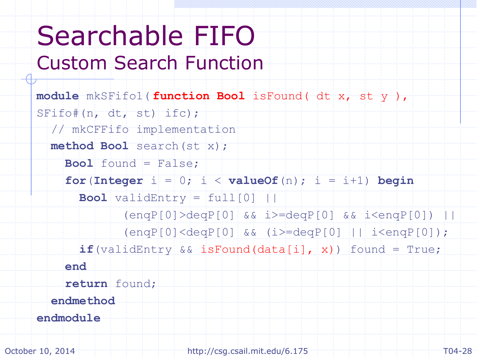### Searchable FIFO Custom Search Function

```
module mkSFifo1(
function Bool isFound( dt x, st y ),SFifo#(n, dt, st) ifc);
   // mkCFFifo implementation
   method Bool search(st x);
     Bool found = False;
    for (\text{Integer } i = 0; i < \text{valueOf}(n); i = i+1) begin
      \textbf{Bool} validEntry = \text{full}[0] ||
              (enqP[0]>deqP[0] && i>=deqP[0] && i<enqP[0]) ||
               (enqP[0]<deqP[0] && (i>=deqP[0] || i<enqP[0]);
       if(validEntry && isFound(data[i], x)) found = True;
     end
     return found;
   endmethod
endmodule
```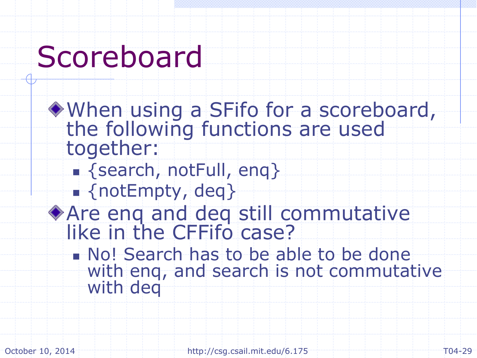## Scoreboard

When using a SFifo for a scoreboard, the following functions are used together: **Extrackleright (Search, notFull, eng) find** {notEmpty, deq} Are enq and deq still commutative like in the CFFifo case? No! Search has to be able to be done with enq, and search is not commutative with deg